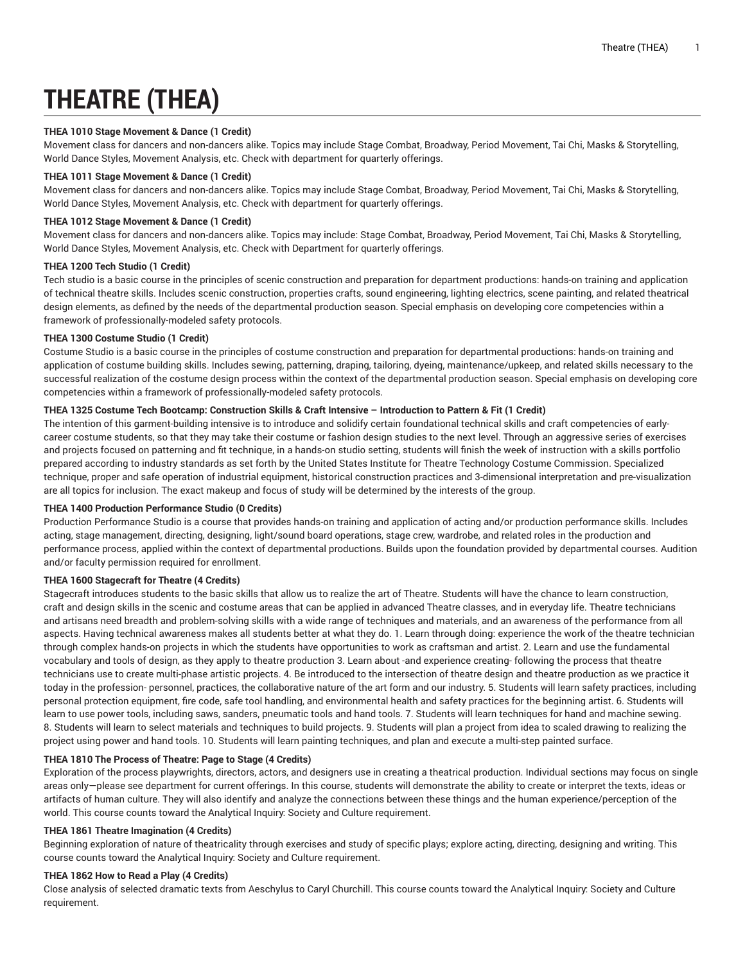# **THEATRE (THEA)**

#### **THEA 1010 Stage Movement & Dance (1 Credit)**

Movement class for dancers and non-dancers alike. Topics may include Stage Combat, Broadway, Period Movement, Tai Chi, Masks & Storytelling, World Dance Styles, Movement Analysis, etc. Check with department for quarterly offerings.

#### **THEA 1011 Stage Movement & Dance (1 Credit)**

Movement class for dancers and non-dancers alike. Topics may include Stage Combat, Broadway, Period Movement, Tai Chi, Masks & Storytelling, World Dance Styles, Movement Analysis, etc. Check with department for quarterly offerings.

## **THEA 1012 Stage Movement & Dance (1 Credit)**

Movement class for dancers and non-dancers alike. Topics may include: Stage Combat, Broadway, Period Movement, Tai Chi, Masks & Storytelling, World Dance Styles, Movement Analysis, etc. Check with Department for quarterly offerings.

## **THEA 1200 Tech Studio (1 Credit)**

Tech studio is a basic course in the principles of scenic construction and preparation for department productions: hands-on training and application of technical theatre skills. Includes scenic construction, properties crafts, sound engineering, lighting electrics, scene painting, and related theatrical design elements, as defined by the needs of the departmental production season. Special emphasis on developing core competencies within a framework of professionally-modeled safety protocols.

#### **THEA 1300 Costume Studio (1 Credit)**

Costume Studio is a basic course in the principles of costume construction and preparation for departmental productions: hands-on training and application of costume building skills. Includes sewing, patterning, draping, tailoring, dyeing, maintenance/upkeep, and related skills necessary to the successful realization of the costume design process within the context of the departmental production season. Special emphasis on developing core competencies within a framework of professionally-modeled safety protocols.

## THEA 1325 Costume Tech Bootcamp: Construction Skills & Craft Intensive - Introduction to Pattern & Fit (1 Credit)

The intention of this garment-building intensive is to introduce and solidify certain foundational technical skills and craft competencies of earlycareer costume students, so that they may take their costume or fashion design studies to the next level. Through an aggressive series of exercises and projects focused on patterning and fit technique, in a hands-on studio setting, students will finish the week of instruction with a skills portfolio prepared according to industry standards as set forth by the United States Institute for Theatre Technology Costume Commission. Specialized technique, proper and safe operation of industrial equipment, historical construction practices and 3-dimensional interpretation and pre-visualization are all topics for inclusion. The exact makeup and focus of study will be determined by the interests of the group.

#### **THEA 1400 Production Performance Studio (0 Credits)**

Production Performance Studio is a course that provides hands-on training and application of acting and/or production performance skills. Includes acting, stage management, directing, designing, light/sound board operations, stage crew, wardrobe, and related roles in the production and performance process, applied within the context of departmental productions. Builds upon the foundation provided by departmental courses. Audition and/or faculty permission required for enrollment.

## **THEA 1600 Stagecraft for Theatre (4 Credits)**

Stagecraft introduces students to the basic skills that allow us to realize the art of Theatre. Students will have the chance to learn construction, craft and design skills in the scenic and costume areas that can be applied in advanced Theatre classes, and in everyday life. Theatre technicians and artisans need breadth and problem-solving skills with a wide range of techniques and materials, and an awareness of the performance from all aspects. Having technical awareness makes all students better at what they do. 1. Learn through doing: experience the work of the theatre technician through complex hands-on projects in which the students have opportunities to work as craftsman and artist. 2. Learn and use the fundamental vocabulary and tools of design, as they apply to theatre production 3. Learn about -and experience creating- following the process that theatre technicians use to create multi-phase artistic projects. 4. Be introduced to the intersection of theatre design and theatre production as we practice it today in the profession- personnel, practices, the collaborative nature of the art form and our industry. 5. Students will learn safety practices, including personal protection equipment, fire code, safe tool handling, and environmental health and safety practices for the beginning artist. 6. Students will learn to use power tools, including saws, sanders, pneumatic tools and hand tools. 7. Students will learn techniques for hand and machine sewing. 8. Students will learn to select materials and techniques to build projects. 9. Students will plan a project from idea to scaled drawing to realizing the project using power and hand tools. 10. Students will learn painting techniques, and plan and execute a multi-step painted surface.

## **THEA 1810 The Process of Theatre: Page to Stage (4 Credits)**

Exploration of the process playwrights, directors, actors, and designers use in creating a theatrical production. Individual sections may focus on single areas only—please see department for current offerings. In this course, students will demonstrate the ability to create or interpret the texts, ideas or artifacts of human culture. They will also identify and analyze the connections between these things and the human experience/perception of the world. This course counts toward the Analytical Inquiry: Society and Culture requirement.

#### **THEA 1861 Theatre Imagination (4 Credits)**

Beginning exploration of nature of theatricality through exercises and study of specific plays; explore acting, directing, designing and writing. This course counts toward the Analytical Inquiry: Society and Culture requirement.

#### **THEA 1862 How to Read a Play (4 Credits)**

Close analysis of selected dramatic texts from Aeschylus to Caryl Churchill. This course counts toward the Analytical Inquiry: Society and Culture requirement.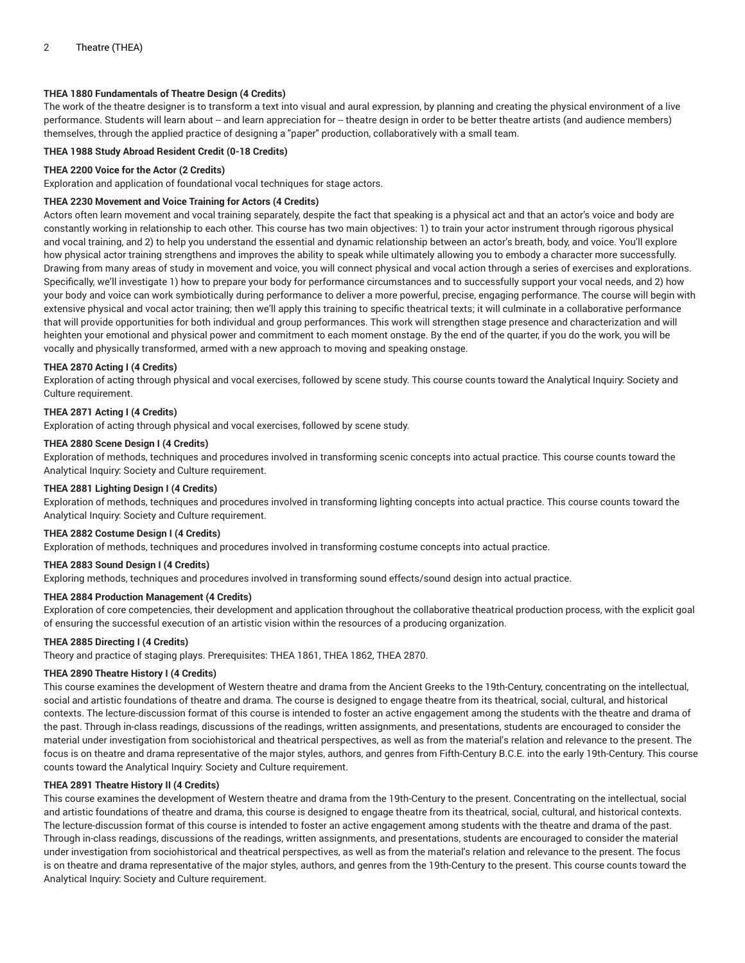## **THEA 1880 Fundamentals of Theatre Design (4 Credits)**

The work of the theatre designer is to transform a text into visual and aural expression, by planning and creating the physical environment of a live performance. Students will learn about -- and learn appreciation for -- theatre design in order to be better theatre artists (and audience members) themselves, through the applied practice of designing a "paper" production, collaboratively with a small team.

## **THEA 1988 Study Abroad Resident Credit (0-18 Credits)**

#### **THEA 2200 Voice for the Actor (2 Credits)**

Exploration and application of foundational vocal techniques for stage actors.

#### **THEA 2230 Movement and Voice Training for Actors (4 Credits)**

Actors often learn movement and vocal training separately, despite the fact that speaking is a physical act and that an actor's voice and body are constantly working in relationship to each other. This course has two main objectives: 1) to train your actor instrument through rigorous physical and vocal training, and 2) to help you understand the essential and dynamic relationship between an actor's breath, body, and voice. You'll explore how physical actor training strengthens and improves the ability to speak while ultimately allowing you to embody a character more successfully. Drawing from many areas of study in movement and voice, you will connect physical and vocal action through a series of exercises and explorations. Specifically, we'll investigate 1) how to prepare your body for performance circumstances and to successfully support your vocal needs, and 2) how your body and voice can work symbiotically during performance to deliver a more powerful, precise, engaging performance. The course will begin with extensive physical and vocal actor training; then we'll apply this training to specific theatrical texts; it will culminate in a collaborative performance that will provide opportunities for both individual and group performances. This work will strengthen stage presence and characterization and will heighten your emotional and physical power and commitment to each moment onstage. By the end of the quarter, if you do the work, you will be vocally and physically transformed, armed with a new approach to moving and speaking onstage.

## **THEA 2870 Acting I (4 Credits)**

Exploration of acting through physical and vocal exercises, followed by scene study. This course counts toward the Analytical Inquiry: Society and Culture requirement.

#### **THEA 2871 Acting I (4 Credits)**

Exploration of acting through physical and vocal exercises, followed by scene study.

#### **THEA 2880 Scene Design I (4 Credits)**

Exploration of methods, techniques and procedures involved in transforming scenic concepts into actual practice. This course counts toward the Analytical Inquiry: Society and Culture requirement.

## **THEA 2881 Lighting Design I (4 Credits)**

Exploration of methods, techniques and procedures involved in transforming lighting concepts into actual practice. This course counts toward the Analytical Inquiry: Society and Culture requirement.

#### **THEA 2882 Costume Design I (4 Credits)**

Exploration of methods, techniques and procedures involved in transforming costume concepts into actual practice.

## **THEA 2883 Sound Design I (4 Credits)**

Exploring methods, techniques and procedures involved in transforming sound effects/sound design into actual practice.

# **THEA 2884 Production Management (4 Credits)**

Exploration of core competencies, their development and application throughout the collaborative theatrical production process, with the explicit goal of ensuring the successful execution of an artistic vision within the resources of a producing organization.

# **THEA 2885 Directing I (4 Credits)**

Theory and practice of staging plays. Prerequisites: THEA 1861, THEA 1862, THEA 2870.

## **THEA 2890 Theatre History I (4 Credits)**

This course examines the development of Western theatre and drama from the Ancient Greeks to the 19th-Century, concentrating on the intellectual, social and artistic foundations of theatre and drama. The course is designed to engage theatre from its theatrical, social, cultural, and historical contexts. The lecture-discussion format of this course is intended to foster an active engagement among the students with the theatre and drama of the past. Through in-class readings, discussions of the readings, written assignments, and presentations, students are encouraged to consider the material under investigation from sociohistorical and theatrical perspectives, as well as from the material's relation and relevance to the present. The focus is on theatre and drama representative of the major styles, authors, and genres from Fifth-Century B.C.E. into the early 19th-Century. This course counts toward the Analytical Inquiry: Society and Culture requirement.

## **THEA 2891 Theatre History II (4 Credits)**

This course examines the development of Western theatre and drama from the 19th-Century to the present. Concentrating on the intellectual, social and artistic foundations of theatre and drama, this course is designed to engage theatre from its theatrical, social, cultural, and historical contexts. The lecture-discussion format of this course is intended to foster an active engagement among students with the theatre and drama of the past. Through in-class readings, discussions of the readings, written assignments, and presentations, students are encouraged to consider the material under investigation from sociohistorical and theatrical perspectives, as well as from the material's relation and relevance to the present. The focus is on theatre and drama representative of the major styles, authors, and genres from the 19th-Century to the present. This course counts toward the Analytical Inquiry: Society and Culture requirement.